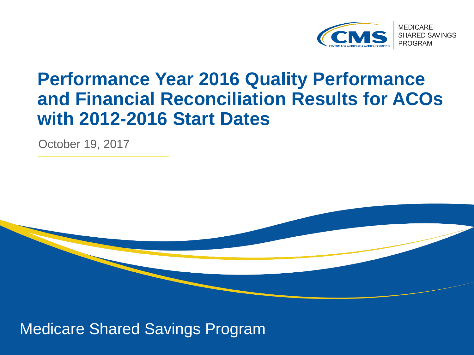

#### **Performance Year 2016 Quality Performance and Financial Reconciliation Results for ACOs with 2012-2016 Start Dates**

October 19, 2017



Medicare Shared Savings Program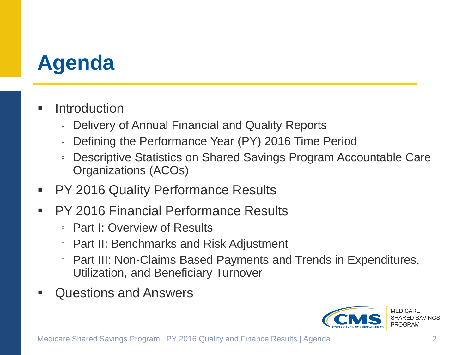## **Agenda**

#### **Introduction**

- Delivery of Annual Financial and Quality Reports
- Defining the Performance Year (PY) 2016 Time Period
- □ Descriptive Statistics on Shared Savings Program Accountable Care Organizations (ACOs)
- PY 2016 Quality Performance Results
- PY 2016 Financial Performance Results
	- □ Part I: Overview of Results
	- Part II: Benchmarks and Risk Adjustment
	- Part III: Non-Claims Based Payments and Trends in Expenditures, Utilization, and Beneficiary Turnover
- Questions and Answers

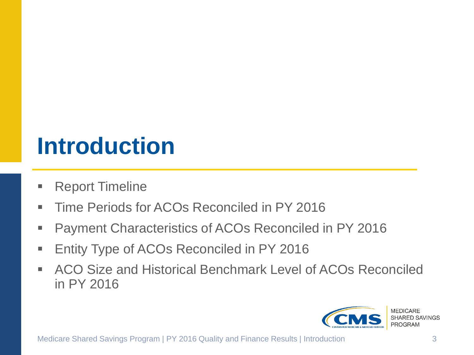# **Introduction**

- Report Timeline
- Time Periods for ACOs Reconciled in PY 2016
- **Payment Characteristics of ACOs Reconciled in PY 2016**
- **Entity Type of ACOs Reconciled in PY 2016**
- ACO Size and Historical Benchmark Level of ACOs Reconciled in PY 2016

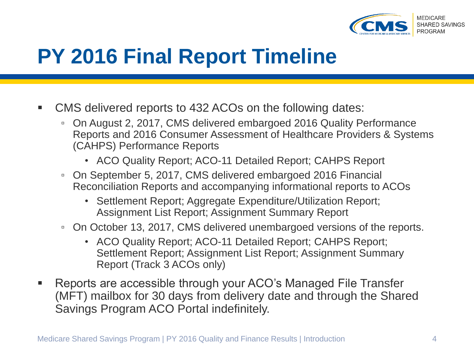

### **PY 2016 Final Report Timeline**

- CMS delivered reports to 432 ACOs on the following dates:
	- On August 2, 2017, CMS delivered embargoed 2016 Quality Performance Reports and 2016 Consumer Assessment of Healthcare Providers & Systems (CAHPS) Performance Reports
		- ACO Quality Report; ACO-11 Detailed Report; CAHPS Report
	- On September 5, 2017, CMS delivered embargoed 2016 Financial Reconciliation Reports and accompanying informational reports to ACOs
		- Settlement Report; Aggregate Expenditure/Utilization Report; Assignment List Report; Assignment Summary Report
	- On October 13, 2017, CMS delivered unembargoed versions of the reports.
		- ACO Quality Report; ACO-11 Detailed Report; CAHPS Report; Settlement Report; Assignment List Report; Assignment Summary Report (Track 3 ACOs only)
- Reports are accessible through your ACO's Managed File Transfer (MFT) mailbox for 30 days from delivery date and through the Shared Savings Program ACO Portal indefinitely.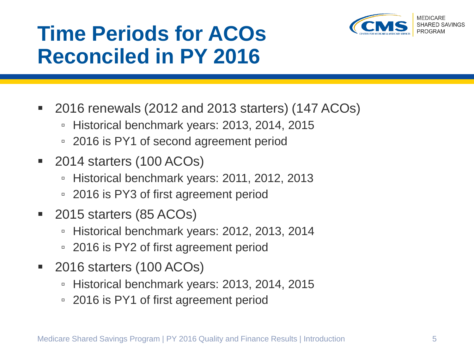

## **Time Periods for ACOs Reconciled in PY 2016**

- 2016 renewals (2012 and 2013 starters) (147 ACOs)
	- Historical benchmark years: 2013, 2014, 2015
	- 2016 is PY1 of second agreement period
- 2014 starters (100 ACOs)
	- Historical benchmark years: 2011, 2012, 2013
	- 2016 is PY3 of first agreement period
- 2015 starters (85 ACOs)
	- Historical benchmark years: 2012, 2013, 2014
	- 2016 is PY2 of first agreement period
- 2016 starters (100 ACOs)
	- Historical benchmark years: 2013, 2014, 2015
	- 2016 is PY1 of first agreement period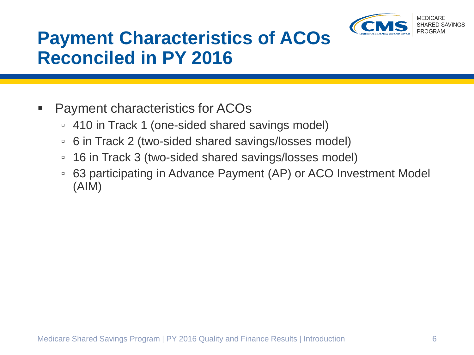

### **Payment Characteristics of ACOs Reconciled in PY 2016**

#### Payment characteristics for ACOs

- 410 in Track 1 (one-sided shared savings model)
- 6 in Track 2 (two-sided shared savings/losses model)
- 16 in Track 3 (two-sided shared savings/losses model)
- 63 participating in Advance Payment (AP) or ACO Investment Model (AIM)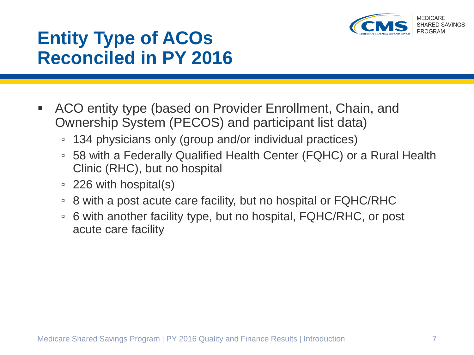

#### **Entity Type of ACOs Reconciled in PY 2016**

- ACO entity type (based on Provider Enrollment, Chain, and Ownership System (PECOS) and participant list data)
	- 134 physicians only (group and/or individual practices)
	- 58 with a Federally Qualified Health Center (FQHC) or a Rural Health Clinic (RHC), but no hospital
	- 226 with hospital(s)
	- 8 with a post acute care facility, but no hospital or FQHC/RHC
	- 6 with another facility type, but no hospital, FQHC/RHC, or post acute care facility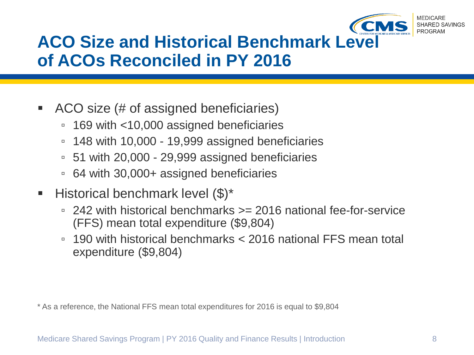

#### **ACO Size and Historical Benchmark Level of ACOs Reconciled in PY 2016**

- ACO size (# of assigned beneficiaries)
	- 169 with <10,000 assigned beneficiaries
	- 148 with 10,000 19,999 assigned beneficiaries
	- 51 with 20,000 29,999 assigned beneficiaries
	- 64 with 30,000+ assigned beneficiaries
- **Historical benchmark level**  $(\$)^*$ 
	- 242 with historical benchmarks >= 2016 national fee-for-service (FFS) mean total expenditure (\$9,804)
	- 190 with historical benchmarks < 2016 national FFS mean total expenditure (\$9,804)

\* As a reference, the National FFS mean total expenditures for 2016 is equal to \$9,804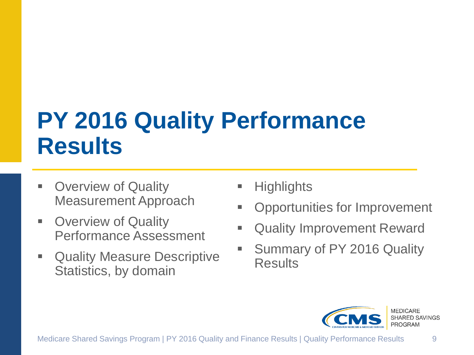# **PY 2016 Quality Performance Results**

- Overview of Quality Measurement Approach
- **D** Overview of Quality Performance Assessment
- **Quality Measure Descriptive** Statistics, by domain
- **Highlights**
- **Opportunities for Improvement**
- **EXECUTE: 20 AUGLIST CONCRETE:** Quality Improvement Reward
- Summary of PY 2016 Quality **Results**

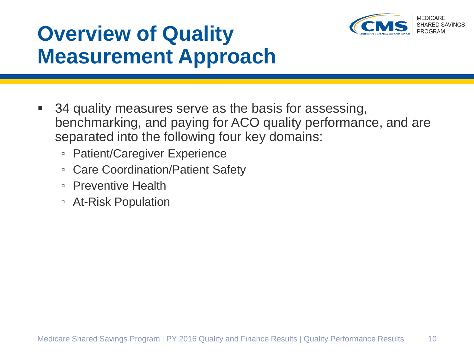

## **Overview of Quality Measurement Approach**

- 34 quality measures serve as the basis for assessing, benchmarking, and paying for ACO quality performance, and are separated into the following four key domains:
	- Patient/Caregiver Experience
	- Care Coordination/Patient Safety
	- Preventive Health
	- At-Risk Population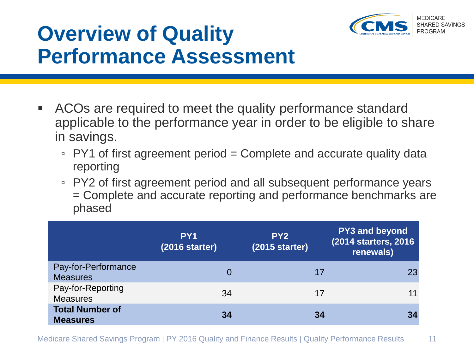

## **Overview of Quality Performance Assessment**

- ACOs are required to meet the quality performance standard applicable to the performance year in order to be eligible to share in savings.
	- PY1 of first agreement period = Complete and accurate quality data reporting
	- PY2 of first agreement period and all subsequent performance years = Complete and accurate reporting and performance benchmarks are phased

|                                           | PY <sub>1</sub><br>$(2016$ starter) | PY <sub>2</sub><br>$(2015$ starter) | <b>PY3 and beyond</b><br>(2014 starters, 2016)<br>renewals) |
|-------------------------------------------|-------------------------------------|-------------------------------------|-------------------------------------------------------------|
| Pay-for-Performance<br><b>Measures</b>    | 0                                   | 17                                  | 23                                                          |
| Pay-for-Reporting<br><b>Measures</b>      | 34                                  | 17                                  | 11                                                          |
| <b>Total Number of</b><br><b>Measures</b> | 34                                  | 34                                  |                                                             |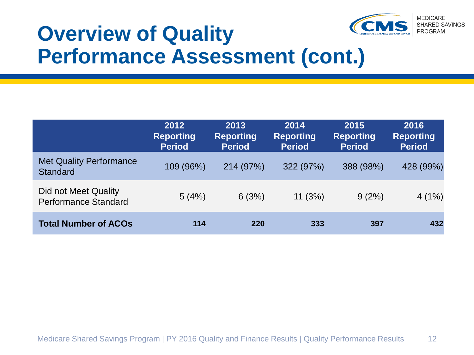

### **Overview of Quality Performance Assessment (cont.)**

|                                                     | 2012<br><b>Reporting</b><br><b>Period</b> | 2013<br><b>Reporting</b><br><b>Period</b> | 2014<br><b>Reporting</b><br><b>Period</b> | 2015<br><b>Reporting</b><br><b>Period</b> | 2016<br><b>Reporting</b><br><b>Period</b> |
|-----------------------------------------------------|-------------------------------------------|-------------------------------------------|-------------------------------------------|-------------------------------------------|-------------------------------------------|
| <b>Met Quality Performance</b><br><b>Standard</b>   | 109 (96%)                                 | 214 (97%)                                 | 322 (97%)                                 | 388 (98%)                                 | 428 (99%)                                 |
| Did not Meet Quality<br><b>Performance Standard</b> | 5(4%)                                     | 6(3%)                                     | 11(3%)                                    | 9(2%)                                     | 4(1%)                                     |
| <b>Total Number of ACOs</b>                         | 114                                       | 220                                       | 333                                       | 397                                       | 432                                       |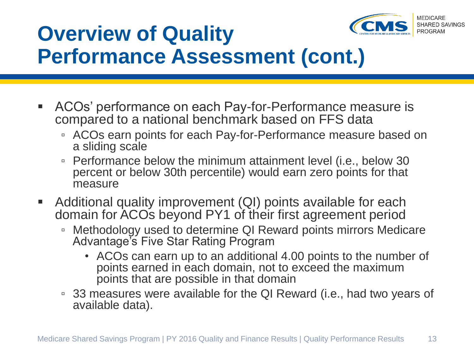

## **Overview of Quality Performance Assessment (cont.)**

- ACOs' performance on each Pay-for-Performance measure is compared to a national benchmark based on FFS data
	- ACOs earn points for each Pay-for-Performance measure based on a sliding scale
	- Performance below the minimum attainment level (i.e., below 30 percent or below 30th percentile) would earn zero points for that measure
- **Additional quality improvement (QI) points available for each** domain for ACOs beyond PY1 of their first agreement period
	- Methodology used to determine QI Reward points mirrors Medicare Advantage's Five Star Rating Program
		- ACOs can earn up to an additional 4.00 points to the number of points earned in each domain, not to exceed the maximum points that are possible in that domain
	- 33 measures were available for the QI Reward (i.e., had two years of available data).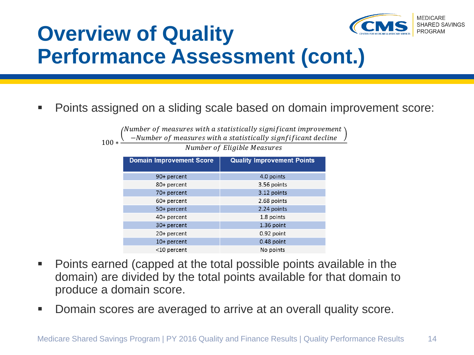

## **Overview of Quality Performance Assessment (cont.)**

100 ∗

Points assigned on a sliding scale based on domain improvement score:

(Number of measures with a statistically significant improvement) −Number of measures with a statistically signfificant decline

Number of Eligible Measures

| <b>Domain Improvement Score</b> | <b>Quality Improvement Points</b> |
|---------------------------------|-----------------------------------|
| 90+ percent                     | 4.0 points                        |
| 80+ percent                     | 3.56 points                       |
| 70+ percent                     | 3.12 points                       |
| 60+ percent                     | 2.68 points                       |
| 50+ percent                     | 2.24 points                       |
| 40+ percent                     | 1.8 points                        |
| 30+ percent                     | 1.36 point                        |
| 20+ percent                     | 0.92 point                        |
| 10+ percent                     | 0.48 point                        |
| $<$ 10 percent                  | No points                         |

- Points earned (capped at the total possible points available in the domain) are divided by the total points available for that domain to produce a domain score.
- Domain scores are averaged to arrive at an overall quality score.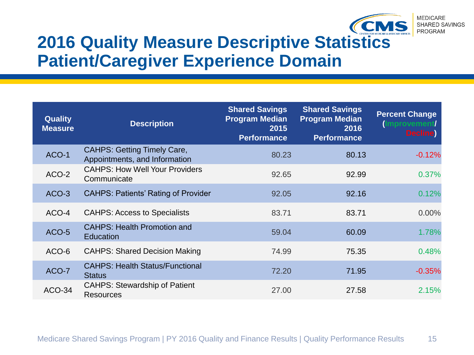

#### **2016 Quality Measure Descriptive Statistics Patient/Caregiver Experience Domain**

| <b>Quality</b><br><b>Measure</b> | <b>Description</b>                                                  | <b>Shared Savings</b><br><b>Program Median</b><br>2015<br><b>Performance</b> | <b>Shared Savings</b><br><b>Program Median</b><br>2016<br><b>Performance</b> | <b>Percent Change</b><br>(Improvement/<br><b>Decline</b> |
|----------------------------------|---------------------------------------------------------------------|------------------------------------------------------------------------------|------------------------------------------------------------------------------|----------------------------------------------------------|
| ACO-1                            | <b>CAHPS: Getting Timely Care,</b><br>Appointments, and Information | 80.23                                                                        | 80.13                                                                        | $-0.12%$                                                 |
| ACO-2                            | <b>CAHPS: How Well Your Providers</b><br>Communicate                | 92.65                                                                        | 92.99                                                                        | 0.37%                                                    |
| ACO-3                            | <b>CAHPS: Patients' Rating of Provider</b>                          | 92.05                                                                        | 92.16                                                                        | 0.12%                                                    |
| ACO-4                            | <b>CAHPS: Access to Specialists</b>                                 | 83.71                                                                        | 83.71                                                                        | $0.00\%$                                                 |
| ACO-5                            | <b>CAHPS: Health Promotion and</b><br>Education                     | 59.04                                                                        | 60.09                                                                        | 1.78%                                                    |
| ACO-6                            | <b>CAHPS: Shared Decision Making</b>                                | 74.99                                                                        | 75.35                                                                        | 0.48%                                                    |
| ACO-7                            | <b>CAHPS: Health Status/Functional</b><br><b>Status</b>             | 72.20                                                                        | 71.95                                                                        | $-0.35%$                                                 |
| <b>ACO-34</b>                    | <b>CAHPS: Stewardship of Patient</b><br><b>Resources</b>            | 27.00                                                                        | 27.58                                                                        | 2.15%                                                    |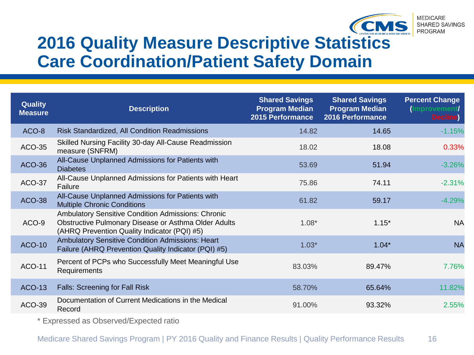

#### **2016 Quality Measure Descriptive Statistics Care Coordination/Patient Safety Domain**

| <b>Quality</b><br><b>Measure</b> | <b>Description</b>                                                                                                                                                | <b>Shared Savings</b><br><b>Program Median</b><br>2015 Performance | <b>Shared Savings</b><br><b>Program Median</b><br>2016 Performance | <b>Percent Change</b><br>(Improvement/<br><b>Decline</b> |
|----------------------------------|-------------------------------------------------------------------------------------------------------------------------------------------------------------------|--------------------------------------------------------------------|--------------------------------------------------------------------|----------------------------------------------------------|
| ACO-8                            | <b>Risk Standardized, All Condition Readmissions</b>                                                                                                              | 14.82                                                              | 14.65                                                              | $-1.15%$                                                 |
| <b>ACO-35</b>                    | Skilled Nursing Facility 30-day All-Cause Readmission<br>measure (SNFRM)                                                                                          | 18.02                                                              | 18.08                                                              | 0.33%                                                    |
| <b>ACO-36</b>                    | All-Cause Unplanned Admissions for Patients with<br><b>Diabetes</b>                                                                                               | 53.69                                                              | 51.94                                                              | $-3.26%$                                                 |
| <b>ACO-37</b>                    | All-Cause Unplanned Admissions for Patients with Heart<br>Failure                                                                                                 | 75.86                                                              | 74.11                                                              | $-2.31%$                                                 |
| <b>ACO-38</b>                    | All-Cause Unplanned Admissions for Patients with<br><b>Multiple Chronic Conditions</b>                                                                            | 61.82                                                              | 59.17                                                              | $-4.29%$                                                 |
| ACO-9                            | <b>Ambulatory Sensitive Condition Admissions: Chronic</b><br>Obstructive Pulmonary Disease or Asthma Older Adults<br>(AHRQ Prevention Quality Indicator (PQI) #5) | $1.08*$                                                            | $1.15*$                                                            | <b>NA</b>                                                |
| <b>ACO-10</b>                    | Ambulatory Sensitive Condition Admissions: Heart<br>Failure (AHRQ Prevention Quality Indicator (PQI) #5)                                                          | $1.03*$                                                            | $1.04*$                                                            | <b>NA</b>                                                |
| <b>ACO-11</b>                    | Percent of PCPs who Successfully Meet Meaningful Use<br>Requirements                                                                                              | 83.03%                                                             | 89.47%                                                             | 7.76%                                                    |
| <b>ACO-13</b>                    | <b>Falls: Screening for Fall Risk</b>                                                                                                                             | 58.70%                                                             | 65.64%                                                             | 11.82%                                                   |
| <b>ACO-39</b>                    | Documentation of Current Medications in the Medical<br>Record                                                                                                     | 91.00%                                                             | 93.32%                                                             | 2.55%                                                    |
|                                  |                                                                                                                                                                   |                                                                    |                                                                    |                                                          |

\* Expressed as Observed/Expected ratio

Medicare Shared Savings Program | PY 2016 Quality and Finance Results | Quality Performance Results 16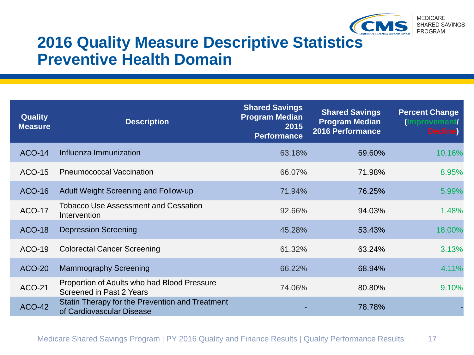

**MEDICARE** SHARED SAVINGS PROGRAM

#### **2016 Quality Measure Descriptive Statistics Preventive Health Domain**

| <b>Quality</b><br><b>Measure</b> | <b>Description</b>                                                           | <b>Shared Savings</b><br><b>Program Median</b><br>2015<br><b>Performance</b> | <b>Shared Savings</b><br><b>Program Median</b><br><b>2016 Performance</b> | <b>Percent Change</b><br>(Improvement/<br><b>Decline</b> |
|----------------------------------|------------------------------------------------------------------------------|------------------------------------------------------------------------------|---------------------------------------------------------------------------|----------------------------------------------------------|
| <b>ACO-14</b>                    | Influenza Immunization                                                       | 63.18%                                                                       | 69.60%                                                                    | 10.16%                                                   |
| <b>ACO-15</b>                    | <b>Pneumococcal Vaccination</b>                                              | 66.07%                                                                       | 71.98%                                                                    | 8.95%                                                    |
| <b>ACO-16</b>                    | <b>Adult Weight Screening and Follow-up</b>                                  | 71.94%                                                                       | 76.25%                                                                    | 5.99%                                                    |
| <b>ACO-17</b>                    | <b>Tobacco Use Assessment and Cessation</b><br>Intervention                  | 92.66%                                                                       | 94.03%                                                                    | 1.48%                                                    |
| <b>ACO-18</b>                    | <b>Depression Screening</b>                                                  | 45.28%                                                                       | 53.43%                                                                    | 18.00%                                                   |
| ACO-19                           | <b>Colorectal Cancer Screening</b>                                           | 61.32%                                                                       | 63.24%                                                                    | 3.13%                                                    |
| <b>ACO-20</b>                    | <b>Mammography Screening</b>                                                 | 66.22%                                                                       | 68.94%                                                                    | 4.11%                                                    |
| <b>ACO-21</b>                    | Proportion of Adults who had Blood Pressure<br>Screened in Past 2 Years      | 74.06%                                                                       | 80.80%                                                                    | 9.10%                                                    |
| <b>ACO-42</b>                    | Statin Therapy for the Prevention and Treatment<br>of Cardiovascular Disease |                                                                              | 78.78%                                                                    |                                                          |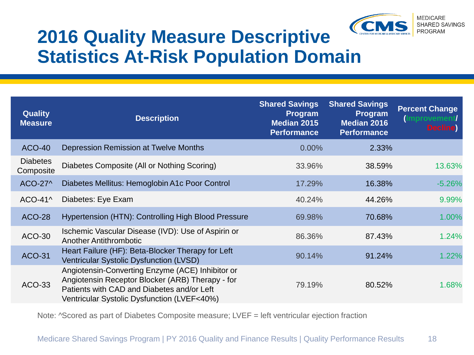

#### **2016 Quality Measure Descriptive Statistics At-Risk Population Domain**

| <b>Quality</b><br><b>Measure</b> | <b>Description</b>                                                                                                                                                                                | <b>Shared Savings</b><br>Program<br><b>Median 2015</b><br><b>Performance</b> | <b>Shared Savings</b><br>Program<br><b>Median 2016</b><br><b>Performance</b> | <b>Percent Change</b><br>(Improvement/<br><b>Decline</b> |
|----------------------------------|---------------------------------------------------------------------------------------------------------------------------------------------------------------------------------------------------|------------------------------------------------------------------------------|------------------------------------------------------------------------------|----------------------------------------------------------|
| <b>ACO-40</b>                    | Depression Remission at Twelve Months                                                                                                                                                             | 0.00%                                                                        | 2.33%                                                                        |                                                          |
| <b>Diabetes</b><br>Composite     | Diabetes Composite (All or Nothing Scoring)                                                                                                                                                       | 33.96%                                                                       | 38.59%                                                                       | 13.63%                                                   |
| ACO-27^                          | Diabetes Mellitus: Hemoglobin A1c Poor Control                                                                                                                                                    | 17.29%                                                                       | 16.38%                                                                       | $-5.26%$                                                 |
| $ACO-41^$                        | Diabetes: Eye Exam                                                                                                                                                                                | 40.24%                                                                       | 44.26%                                                                       | 9.99%                                                    |
| <b>ACO-28</b>                    | Hypertension (HTN): Controlling High Blood Pressure                                                                                                                                               | 69.98%                                                                       | 70.68%                                                                       | 1.00%                                                    |
| <b>ACO-30</b>                    | Ischemic Vascular Disease (IVD): Use of Aspirin or<br><b>Another Antithrombotic</b>                                                                                                               | 86.36%                                                                       | 87.43%                                                                       | 1.24%                                                    |
| <b>ACO-31</b>                    | Heart Failure (HF): Beta-Blocker Therapy for Left<br>Ventricular Systolic Dysfunction (LVSD)                                                                                                      | 90.14%                                                                       | 91.24%                                                                       | 1.22%                                                    |
| <b>ACO-33</b>                    | Angiotensin-Converting Enzyme (ACE) Inhibitor or<br>Angiotensin Receptor Blocker (ARB) Therapy - for<br>Patients with CAD and Diabetes and/or Left<br>Ventricular Systolic Dysfunction (LVEF<40%) | 79.19%                                                                       | 80.52%                                                                       | 1.68%                                                    |

Note: ^Scored as part of Diabetes Composite measure; LVEF = left ventricular ejection fraction

Medicare Shared Savings Program | PY 2016 Quality and Finance Results | Quality Performance Results 18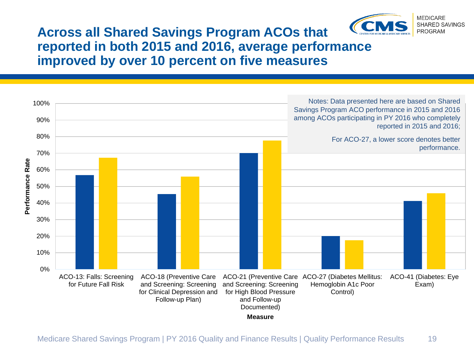

#### **Across all Shared Savings Program ACOs that reported in both 2015 and 2016, average performance improved by over 10 percent on five measures**

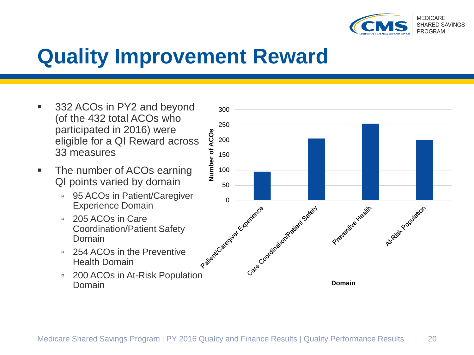

### **Quality Improvement Reward**

- 332 ACOs in PY2 and beyond (of the 432 total ACOs who participated in 2016) were eligible for a QI Reward across 33 measures
- The number of ACOs earning QI points varied by domain
	- 95 ACOs in Patient/Caregiver Experience Domain
	- 205 ACOs in Care Coordination/Patient Safety Domain
	- 254 ACOs in the Preventive Health Domain
	- 200 ACOs in At-Risk Population Domain

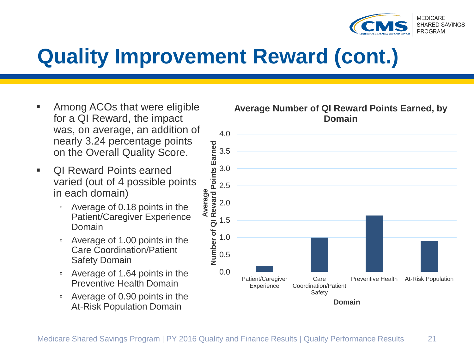

## **Quality Improvement Reward (cont.)**

- Among ACOs that were eligible for a QI Reward, the impact was, on average, an addition of nearly 3.24 percentage points on the Overall Quality Score.
- **DI Reward Points earned** varied (out of 4 possible points in each domain)
	- Average of 0.18 points in the Patient/Caregiver Experience Domain
	- Average of 1.00 points in the Care Coordination/Patient Safety Domain
	- Average of 1.64 points in the Preventive Health Domain
	- Average of 0.90 points in the At-Risk Population Domain

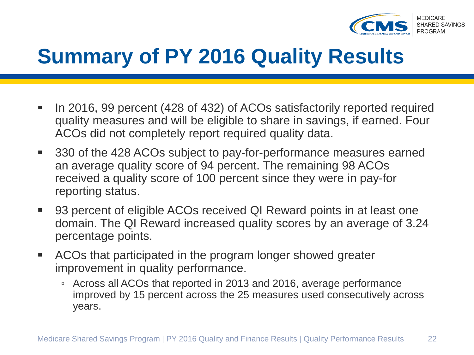

## **Summary of PY 2016 Quality Results**

- In 2016, 99 percent (428 of 432) of ACOs satisfactorily reported required quality measures and will be eligible to share in savings, if earned. Four ACOs did not completely report required quality data.
- 330 of the 428 ACOs subject to pay-for-performance measures earned an average quality score of 94 percent. The remaining 98 ACOs received a quality score of 100 percent since they were in pay-for reporting status.
- 93 percent of eligible ACOs received QI Reward points in at least one domain. The QI Reward increased quality scores by an average of 3.24 percentage points.
- ACOs that participated in the program longer showed greater improvement in quality performance.
	- Across all ACOs that reported in 2013 and 2016, average performance improved by 15 percent across the 25 measures used consecutively across years.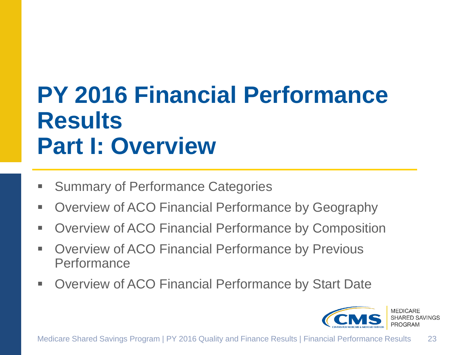# **PY 2016 Financial Performance Results Part I: Overview**

- Summary of Performance Categories
- **Dimes-** Overview of ACO Financial Performance by Geography
- **Dimergien Containstan Performance by Composition**
- **Dimergien Contata Contata Servious Dimersions** Performance
- **Dimergien Convergist Converts** Performance by Start Date

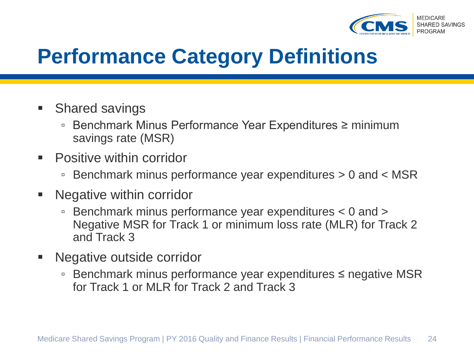

## **Performance Category Definitions**

- Shared savings
	- Benchmark Minus Performance Year Expenditures ≥ minimum savings rate (MSR)
- Positive within corridor
	- Benchmark minus performance year expenditures > 0 and < MSR
- **Negative within corridor** 
	- Benchmark minus performance year expenditures < 0 and > Negative MSR for Track 1 or minimum loss rate (MLR) for Track 2 and Track 3
- Negative outside corridor
	- Benchmark minus performance year expenditures ≤ negative MSR for Track 1 or MLR for Track 2 and Track 3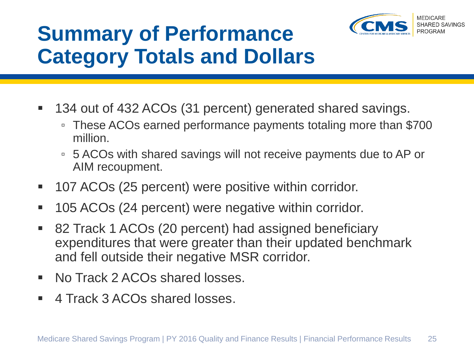

## **Summary of Performance Category Totals and Dollars**

- 134 out of 432 ACOs (31 percent) generated shared savings.
	- These ACOs earned performance payments totaling more than \$700 million.
	- 5 ACOs with shared savings will not receive payments due to AP or AIM recoupment.
- 107 ACOs (25 percent) were positive within corridor.
- 105 ACOs (24 percent) were negative within corridor.
- 82 Track 1 ACOs (20 percent) had assigned beneficiary expenditures that were greater than their updated benchmark and fell outside their negative MSR corridor.
- No Track 2 ACOs shared losses.
- 4 Track 3 ACOs shared losses.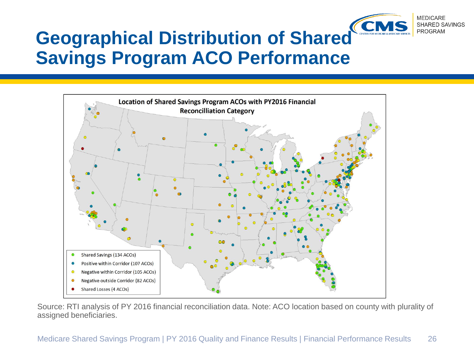

#### **Geographical Distribution of Shared Savings Program ACO Performance**



Source: RTI analysis of PY 2016 financial reconciliation data. Note: ACO location based on county with plurality of assigned beneficiaries.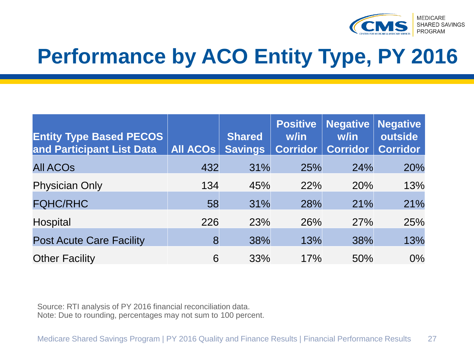

# **Performance by ACO Entity Type, PY 2016**

| <b>Entity Type Based PECOS</b><br>and Participant List Data | All ACOs | <b>Shared</b><br><b>Savings</b> | <b>Positive</b><br>w/in<br><b>Corridor</b> | <b>Negative</b><br>w/in<br><b>Corridor</b> | <b>Negative</b><br>outside<br><b>Corridor</b> |
|-------------------------------------------------------------|----------|---------------------------------|--------------------------------------------|--------------------------------------------|-----------------------------------------------|
| <b>All ACOS</b>                                             | 432      | 31%                             | 25%                                        | 24%                                        | 20%                                           |
| <b>Physician Only</b>                                       | 134      | 45%                             | <b>22%</b>                                 | 20%                                        | 13%                                           |
| <b>FQHC/RHC</b>                                             | 58       | 31%                             | 28%                                        | 21%                                        | 21%                                           |
| <b>Hospital</b>                                             | 226      | 23%                             | 26%                                        | 27%                                        | 25%                                           |
| <b>Post Acute Care Facility</b>                             | 8        | 38%                             | 13%                                        | 38%                                        | 13%                                           |
| <b>Other Facility</b>                                       | 6        | 33%                             | 17%                                        | 50%                                        | $0\%$                                         |

Source: RTI analysis of PY 2016 financial reconciliation data. Note: Due to rounding, percentages may not sum to 100 percent.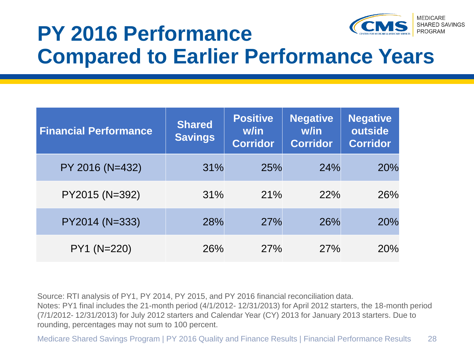

### **PY 2016 Performance Compared to Earlier Performance Years**

| <b>Financial Performance</b> | <b>Shared</b><br><b>Savings</b> | <b>Positive</b><br>w/in<br><b>Corridor</b> | <b>Negative</b><br>w/in<br><b>Corridor</b> | <b>Negative</b><br>outside<br><b>Corridor</b> |
|------------------------------|---------------------------------|--------------------------------------------|--------------------------------------------|-----------------------------------------------|
| PY 2016 (N=432)              | 31%                             | 25%                                        | 24%                                        | 20%                                           |
| PY2015 (N=392)               | 31%                             | 21%                                        | 22%                                        | 26%                                           |
| PY2014 (N=333)               | 28%                             | 27%                                        | 26%                                        | 20%                                           |
| PY1 (N=220)                  | 26%                             | 27%                                        | 27%                                        | 20%                                           |

Source: RTI analysis of PY1, PY 2014, PY 2015, and PY 2016 financial reconciliation data. Notes: PY1 final includes the 21-month period (4/1/2012- 12/31/2013) for April 2012 starters, the 18-month period (7/1/2012- 12/31/2013) for July 2012 starters and Calendar Year (CY) 2013 for January 2013 starters. Due to rounding, percentages may not sum to 100 percent.

Medicare Shared Savings Program | PY 2016 Quality and Finance Results | Financial Performance Results 28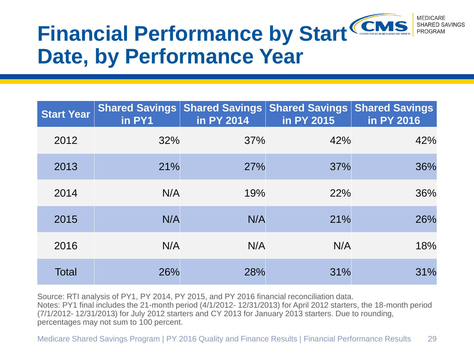

# **Date, by Performance Year**

| <b>Start Year</b> | <b>Shared Savings</b><br>in PY1 | <b>Shared Savings</b><br>in PY 2014 | <b>Shared Savings</b><br>in PY 2015 | <b>Shared Savings</b><br>in PY 2016 |
|-------------------|---------------------------------|-------------------------------------|-------------------------------------|-------------------------------------|
| 2012              | 32%                             | 37%                                 | 42%                                 | 42%                                 |
| 2013              | 21%                             | 27%                                 | 37%                                 | 36%                                 |
| 2014              | N/A                             | 19%                                 | 22%                                 | 36%                                 |
| 2015              | N/A                             | N/A                                 | 21%                                 | 26%                                 |
| 2016              | N/A                             | N/A                                 | N/A                                 | 18%                                 |
| Total             | 26%                             | 28%                                 | 31%                                 | 31%                                 |

Source: RTI analysis of PY1, PY 2014, PY 2015, and PY 2016 financial reconciliation data. Notes: PY1 final includes the 21-month period (4/1/2012- 12/31/2013) for April 2012 starters, the 18-month period (7/1/2012- 12/31/2013) for July 2012 starters and CY 2013 for January 2013 starters. Due to rounding, percentages may not sum to 100 percent.

Medicare Shared Savings Program | PY 2016 Quality and Finance Results | Financial Performance Results 29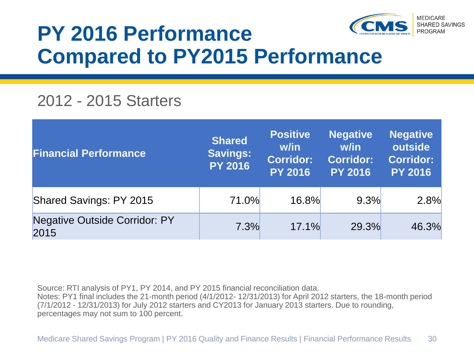

### **PY 2016 Performance Compared to PY2015 Performance**

#### 2012 - 2015 Starters

| <b>Financial Performance</b>                 | <b>Shared</b><br><b>Savings:</b><br><b>PY 2016</b> | <b>Positive</b><br>w/in<br><b>Corridor:</b><br><b>PY 2016</b> | <b>Negative</b><br>w/in<br>Corridor:<br><b>PY 2016</b> | <b>Negative</b><br>outside<br><b>Corridor:</b><br><b>PY 2016</b> |
|----------------------------------------------|----------------------------------------------------|---------------------------------------------------------------|--------------------------------------------------------|------------------------------------------------------------------|
| Shared Savings: PY 2015                      | 71.0%                                              | 16.8%                                                         | 9.3%                                                   | 2.8%                                                             |
| <b>Negative Outside Corridor: PY</b><br>2015 | 7.3%                                               | 17.1%                                                         | 29.3%                                                  | 46.3%                                                            |

Source: RTI analysis of PY1, PY 2014, and PY 2015 financial reconciliation data.

Notes: PY1 final includes the 21-month period (4/1/2012- 12/31/2013) for April 2012 starters, the 18-month period (7/1/2012 - 12/31/2013) for July 2012 starters and CY2013 for January 2013 starters. Due to rounding, percentages may not sum to 100 percent.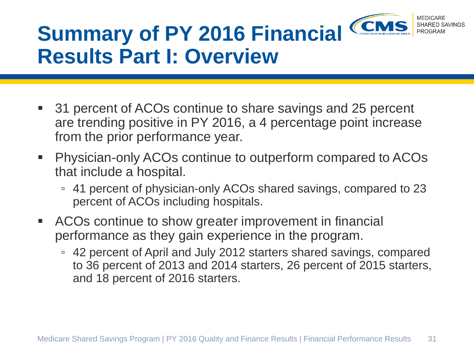

# **Summary of PY 2016 Financial Results Part I: Overview**

- 31 percent of ACOs continue to share savings and 25 percent are trending positive in PY 2016, a 4 percentage point increase from the prior performance year.
- Physician-only ACOs continue to outperform compared to ACOs that include a hospital.
	- 41 percent of physician-only ACOs shared savings, compared to 23 percent of ACOs including hospitals.
- ACOs continue to show greater improvement in financial performance as they gain experience in the program.
	- 42 percent of April and July 2012 starters shared savings, compared to 36 percent of 2013 and 2014 starters, 26 percent of 2015 starters, and 18 percent of 2016 starters.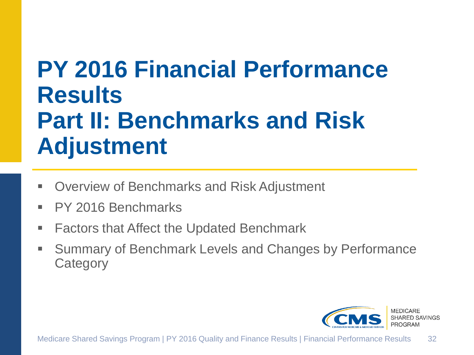# **PY 2016 Financial Performance Results Part II: Benchmarks and Risk Adjustment**

- Overview of Benchmarks and Risk Adjustment
- PY 2016 Benchmarks
- Factors that Affect the Updated Benchmark
- **Summary of Benchmark Levels and Changes by Performance Category**

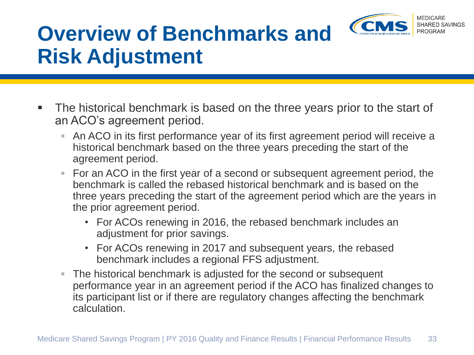

# **Overview of Benchmarks and Risk Adjustment**

- The historical benchmark is based on the three years prior to the start of an ACO's agreement period.
	- An ACO in its first performance year of its first agreement period will receive a historical benchmark based on the three years preceding the start of the agreement period.
	- For an ACO in the first year of a second or subsequent agreement period, the benchmark is called the rebased historical benchmark and is based on the three years preceding the start of the agreement period which are the years in the prior agreement period.
		- For ACOs renewing in 2016, the rebased benchmark includes an adjustment for prior savings.
		- For ACOs renewing in 2017 and subsequent years, the rebased benchmark includes a regional FFS adjustment.
	- The historical benchmark is adjusted for the second or subsequent performance year in an agreement period if the ACO has finalized changes to its participant list or if there are regulatory changes affecting the benchmark calculation.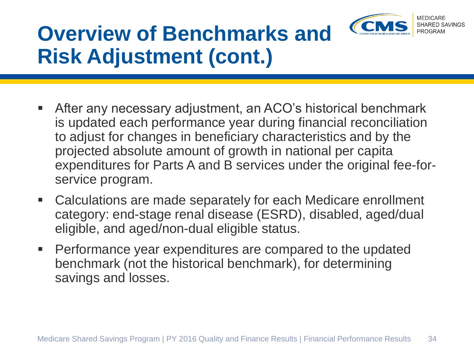

# **Overview of Benchmarks and Risk Adjustment (cont.)**

- After any necessary adjustment, an ACO's historical benchmark is updated each performance year during financial reconciliation to adjust for changes in beneficiary characteristics and by the projected absolute amount of growth in national per capita expenditures for Parts A and B services under the original fee-forservice program.
- Calculations are made separately for each Medicare enrollment category: end-stage renal disease (ESRD), disabled, aged/dual eligible, and aged/non-dual eligible status.
- **Performance year expenditures are compared to the updated** benchmark (not the historical benchmark), for determining savings and losses.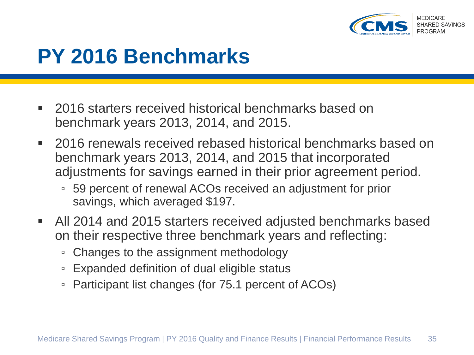

### **PY 2016 Benchmarks**

- 2016 starters received historical benchmarks based on benchmark years 2013, 2014, and 2015.
- 2016 renewals received rebased historical benchmarks based on benchmark years 2013, 2014, and 2015 that incorporated adjustments for savings earned in their prior agreement period.
	- 59 percent of renewal ACOs received an adjustment for prior savings, which averaged \$197.
- All 2014 and 2015 starters received adjusted benchmarks based on their respective three benchmark years and reflecting:
	- Changes to the assignment methodology
	- Expanded definition of dual eligible status
	- Participant list changes (for 75.1 percent of ACOs)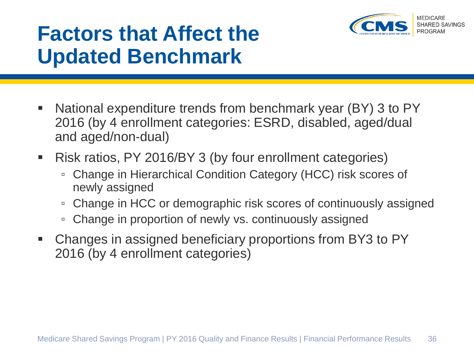

- National expenditure trends from benchmark year (BY) 3 to PY 2016 (by 4 enrollment categories: ESRD, disabled, aged/dual and aged/non-dual)
- Risk ratios, PY 2016/BY 3 (by four enrollment categories)
	- Change in Hierarchical Condition Category (HCC) risk scores of newly assigned
	- Change in HCC or demographic risk scores of continuously assigned
	- Change in proportion of newly vs. continuously assigned
- Changes in assigned beneficiary proportions from BY3 to PY 2016 (by 4 enrollment categories)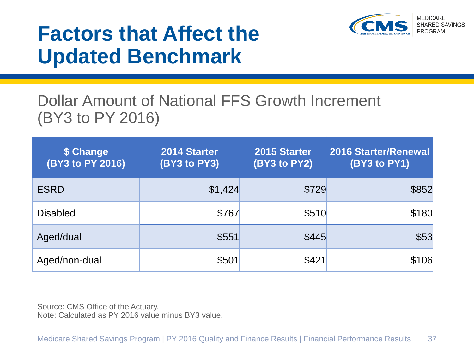

#### Dollar Amount of National FFS Growth Increment (BY3 to PY 2016)

| \$ Change<br>(BY3 to PY 2016) | 2014 Starter<br>(BY3 to PY3) | 2015 Starter<br>(BY3 to PY2) | <b>2016 Starter/Renewal</b><br>(BY3 to PY1) |
|-------------------------------|------------------------------|------------------------------|---------------------------------------------|
| <b>ESRD</b>                   | \$1,424                      | \$729                        | \$852                                       |
| <b>Disabled</b>               | \$767                        | \$510                        | \$180                                       |
| Aged/dual                     | \$551                        | \$445                        | \$53                                        |
| Aged/non-dual                 | \$501                        | \$421                        | \$106                                       |

Source: CMS Office of the Actuary. Note: Calculated as PY 2016 value minus BY3 value.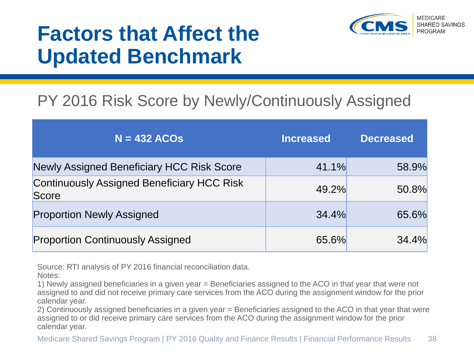

#### PY 2016 Risk Score by Newly/Continuously Assigned

| $N = 432$ ACOs                                             | <b>Increased</b> | <b>Decreased</b> |
|------------------------------------------------------------|------------------|------------------|
| <b>Newly Assigned Beneficiary HCC Risk Score</b>           | 41.1%            | 58.9%            |
| <b>Continuously Assigned Beneficiary HCC Risk</b><br>Score | 49.2%            | 50.8%            |
| <b>Proportion Newly Assigned</b>                           | 34.4%            | 65.6%            |
| <b>Proportion Continuously Assigned</b>                    | 65.6%            | 34.4%            |

Source: RTI analysis of PY 2016 financial reconciliation data.

1) Newly assigned beneficiaries in a given year = Beneficiaries assigned to the ACO in that year that were not assigned to and did not receive primary care services from the ACO during the assignment window for the prior calendar year.

2) Continuously assigned beneficiaries in a given year = Beneficiaries assigned to the ACO in that year that were assigned to or did receive primary care services from the ACO during the assignment window for the prior calendar year.

Notes: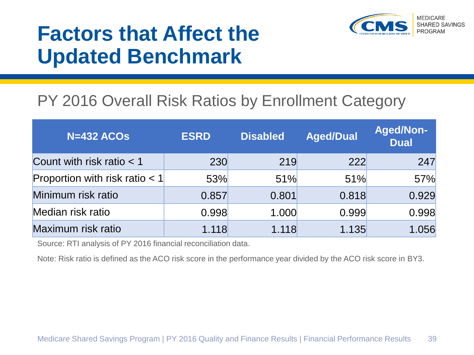

#### PY 2016 Overall Risk Ratios by Enrollment Category

| <b>N=432 ACOs</b>                | <b>ESRD</b> | <b>Disabled</b> | <b>Aged/Dual</b> | <b>Aged/Non-</b><br><b>Dual</b> |
|----------------------------------|-------------|-----------------|------------------|---------------------------------|
| Count with risk ratio $<$ 1      | 230         | 219             | <b>222</b>       | 247                             |
| Proportion with risk ratio $< 1$ | 53%         | 51%             | 51%              | 57%                             |
| Minimum risk ratio               | 0.857       | 0.801           | 0.818            | 0.929                           |
| Median risk ratio                | 0.998       | 1.000           | 0.999            | 0.998                           |
| Maximum risk ratio               | 1.118       | 1.118           | 1.135            | 1.056                           |

Source: RTI analysis of PY 2016 financial reconciliation data.

Note: Risk ratio is defined as the ACO risk score in the performance year divided by the ACO risk score in BY3.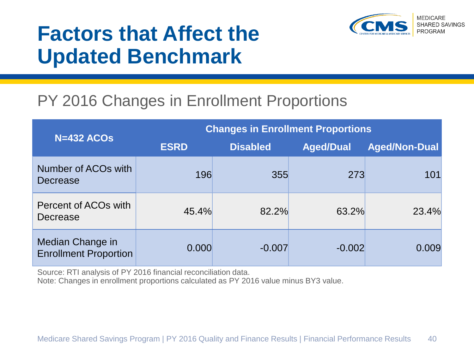

#### PY 2016 Changes in Enrollment Proportions

| $N=432$ ACOs                                     |             | <b>Changes in Enrollment Proportions</b> |                  |                      |  |  |  |
|--------------------------------------------------|-------------|------------------------------------------|------------------|----------------------|--|--|--|
|                                                  | <b>ESRD</b> | <b>Disabled</b>                          | <b>Aged/Dual</b> | <b>Aged/Non-Dual</b> |  |  |  |
| Number of ACO <sub>s</sub> with<br>Decrease      | 196         | 355                                      | 273              | 101                  |  |  |  |
| Percent of ACO <sub>s</sub> with<br>Decrease     | 45.4%       | 82.2%                                    | 63.2%            | 23.4%                |  |  |  |
| Median Change in<br><b>Enrollment Proportion</b> | 0.000       | $-0.007$                                 | $-0.002$         | 0.009                |  |  |  |

Source: RTI analysis of PY 2016 financial reconciliation data.

Note: Changes in enrollment proportions calculated as PY 2016 value minus BY3 value.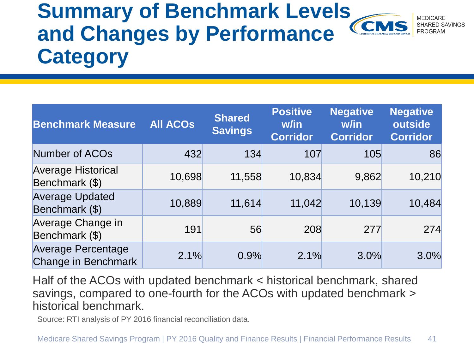#### **Summary of Benchmark Levels**  SHARED SAVINGS **and Changes by Performance**  PROGRAM **Category**

| <b>Benchmark Measure</b>                                | <b>All ACOS</b> | <b>Shared</b><br><b>Savings</b> | <b>Positive</b><br>w/in<br><b>Corridor</b> | <b>Negative</b><br>w/in<br><b>Corridor</b> | <b>Negative</b><br>outside<br><b>Corridor</b> |
|---------------------------------------------------------|-----------------|---------------------------------|--------------------------------------------|--------------------------------------------|-----------------------------------------------|
| <b>Number of ACOs</b>                                   | 432             | 134                             | 107                                        | 105                                        | 86                                            |
| <b>Average Historical</b><br>Benchmark (\$)             | 10,698          | 11,558                          | 10,834                                     | 9,862                                      | 10,210                                        |
| <b>Average Updated</b><br>Benchmark (\$)                | 10,889          | 11,614                          | 11,042                                     | 10,139                                     | 10,484                                        |
| Average Change in<br>Benchmark (\$)                     | 191             | 56                              | 208                                        | 277                                        | 274                                           |
| <b>Average Percentage</b><br><b>Change in Benchmark</b> | 2.1%            | 0.9%                            | 2.1%                                       | 3.0%                                       | 3.0%                                          |

Half of the ACOs with updated benchmark < historical benchmark, shared savings, compared to one-fourth for the ACOs with updated benchmark > historical benchmark.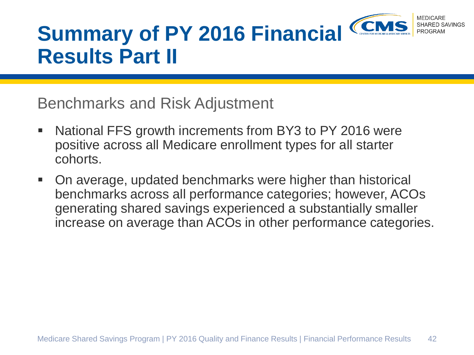

# **Summary of PY 2016 Financial Results Part II**

Benchmarks and Risk Adjustment

- National FFS growth increments from BY3 to PY 2016 were positive across all Medicare enrollment types for all starter cohorts.
- On average, updated benchmarks were higher than historical benchmarks across all performance categories; however, ACOs generating shared savings experienced a substantially smaller increase on average than ACOs in other performance categories.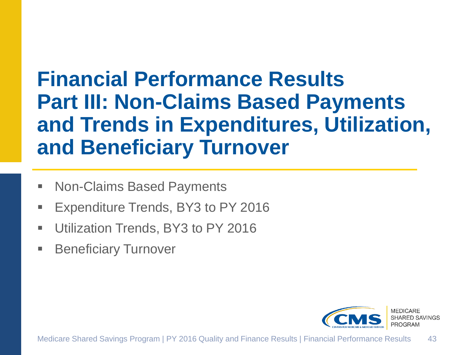### **Financial Performance Results Part III: Non-Claims Based Payments and Trends in Expenditures, Utilization, and Beneficiary Turnover**

- Non-Claims Based Payments
- Expenditure Trends, BY3 to PY 2016
- Utilization Trends, BY3 to PY 2016
- **Beneficiary Turnover**

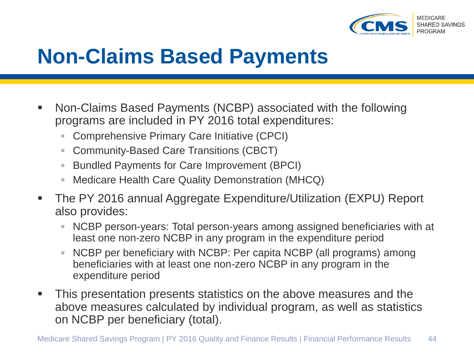

### **Non-Claims Based Payments**

- Non-Claims Based Payments (NCBP) associated with the following programs are included in PY 2016 total expenditures:
	- Comprehensive Primary Care Initiative (CPCI)
	- Community-Based Care Transitions (CBCT)
	- Bundled Payments for Care Improvement (BPCI)
	- Medicare Health Care Quality Demonstration (MHCQ)
- The PY 2016 annual Aggregate Expenditure/Utilization (EXPU) Report also provides:
	- NCBP person-years: Total person-years among assigned beneficiaries with at least one non-zero NCBP in any program in the expenditure period
	- NCBP per beneficiary with NCBP: Per capita NCBP (all programs) among beneficiaries with at least one non-zero NCBP in any program in the expenditure period
- This presentation presents statistics on the above measures and the above measures calculated by individual program, as well as statistics on NCBP per beneficiary (total).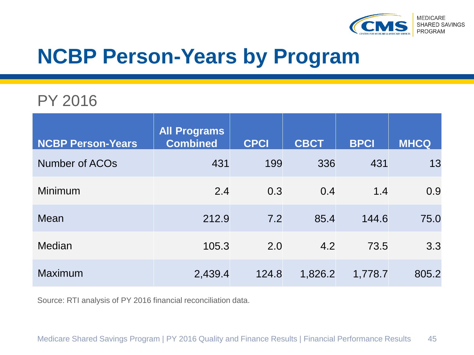

### **NCBP Person-Years by Program**

#### PY 2016

| <b>NCBP Person-Years</b> | <b>All Programs</b><br><b>Combined</b> | <b>CPCI</b> | <b>CBCT</b> | <b>BPCI</b> | <b>MHCQ</b> |
|--------------------------|----------------------------------------|-------------|-------------|-------------|-------------|
| Number of ACOs           | 431                                    | 199         | 336         | 431         | 13          |
| <b>Minimum</b>           | 2.4                                    | 0.3         | 0.4         | 1.4         | 0.9         |
| Mean                     | 212.9                                  | 7.2         | 85.4        | 144.6       | 75.0        |
| Median                   | 105.3                                  | 2.0         | 4.2         | 73.5        | 3.3         |
| <b>Maximum</b>           | 2,439.4                                | 124.8       | 1,826.2     | 1,778.7     | 805.2       |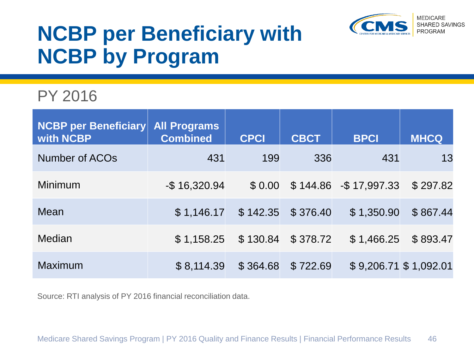

## **NCBP per Beneficiary with NCBP by Program**

#### PY 2016

| <b>NCBP per Beneficiary</b><br>with NCBP | <b>All Programs</b><br><b>Combined</b> | <b>CPCI</b> | <b>CBCT</b> | <b>BPCI</b>            | <b>MHCQ</b>           |
|------------------------------------------|----------------------------------------|-------------|-------------|------------------------|-----------------------|
| Number of ACOs                           | 431                                    | 199         | 336         | 431                    | 13                    |
| Minimum                                  | $-$ \$16,320.94                        | \$ 0.00     |             | $$144.86$ -\$17,997.33 | \$297.82              |
| Mean                                     | \$1,146.17                             | \$142.35    | \$376.40    | \$1,350.90             | \$867.44              |
| Median                                   | \$1,158.25                             | \$130.84    | \$378.72    | \$1,466.25             | \$893.47              |
| Maximum                                  | \$8,114.39                             | \$364.68    | \$722.69    |                        | \$9,206.71 \$1,092.01 |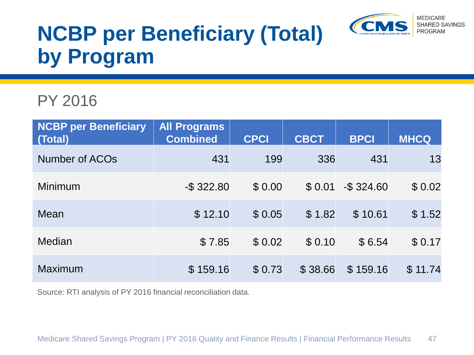

# **NCBP per Beneficiary (Total) by Program**

#### PY 2016

| <b>NCBP per Beneficiary</b><br>(Total) | <b>All Programs</b><br><b>Combined</b> | <b>CPCI</b> | <b>CBCT</b> | <b>BPCI</b>   | <b>MHCQ</b> |
|----------------------------------------|----------------------------------------|-------------|-------------|---------------|-------------|
| Number of ACOs                         | 431                                    | 199         | 336         | 431           | 13          |
| Minimum                                | $-$ \$ 322.80                          | \$0.00      | \$0.01      | $-$ \$ 324.60 | \$0.02      |
| Mean                                   | \$12.10                                | \$0.05      | \$1.82      | \$10.61       | \$1.52      |
| Median                                 | \$7.85                                 | \$0.02      | \$0.10      | \$6.54        | \$0.17      |
| <b>Maximum</b>                         | \$159.16                               | \$0.73      | \$38.66     | \$159.16      | \$11.74     |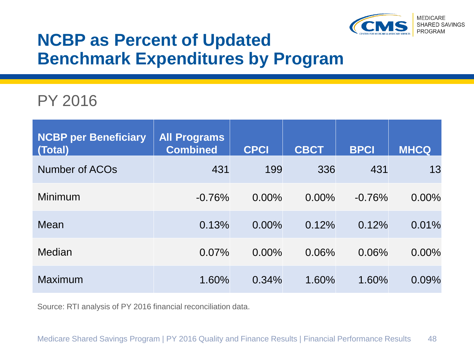

#### **NCBP as Percent of Updated Benchmark Expenditures by Program**

#### PY 2016

| <b>NCBP per Beneficiary</b><br>(Total) | <b>All Programs</b><br><b>Combined</b> | <b>CPCI</b> | <b>CBCT</b> | <b>BPCI</b> | <b>MHCQ</b> |
|----------------------------------------|----------------------------------------|-------------|-------------|-------------|-------------|
| Number of ACO <sub>s</sub>             | 431                                    | 199         | 336         | 431         | 13          |
| Minimum                                | $-0.76%$                               | $0.00\%$    | $0.00\%$    | $-0.76%$    | $0.00\%$    |
| Mean                                   | 0.13%                                  | $0.00\%$    | 0.12%       | 0.12%       | 0.01%       |
| Median                                 | 0.07%                                  | $0.00\%$    | 0.06%       | 0.06%       | $0.00\%$    |
| <b>Maximum</b>                         | 1.60%                                  | 0.34%       | 1.60%       | 1.60%       | 0.09%       |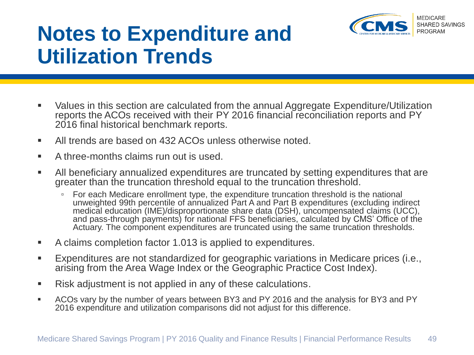

## **Notes to Expenditure and Utilization Trends**

- Values in this section are calculated from the annual Aggregate Expenditure/Utilization reports the ACOs received with their PY 2016 financial reconciliation reports and PY 2016 final historical benchmark reports.
- All trends are based on 432 ACOs unless otherwise noted.
- **A three-months claims run out is used.**
- All beneficiary annualized expenditures are truncated by setting expenditures that are greater than the truncation threshold equal to the truncation threshold.
	- For each Medicare enrollment type, the expenditure truncation threshold is the national unweighted 99th percentile of annualized Part A and Part B expenditures (excluding indirect medical education (IME)/disproportionate share data (DSH), uncompensated claims (UCC), and pass-through payments) for national FFS beneficiaries, calculated by CMS' Office of the Actuary. The component expenditures are truncated using the same truncation thresholds.
- A claims completion factor 1.013 is applied to expenditures.
- Expenditures are not standardized for geographic variations in Medicare prices (i.e., arising from the Area Wage Index or the Geographic Practice Cost Index).
- Risk adjustment is not applied in any of these calculations.
- ACOs vary by the number of years between BY3 and PY 2016 and the analysis for BY3 and PY 2016 expenditure and utilization comparisons did not adjust for this difference.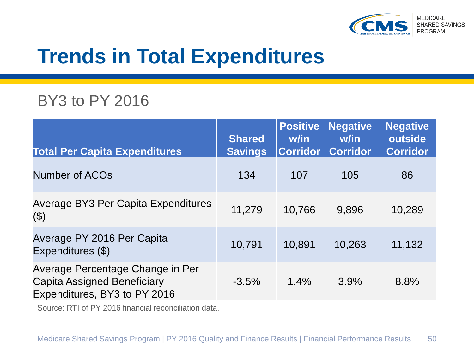

### **Trends in Total Expenditures**

#### BY3 to PY 2016

| <b>Total Per Capita Expenditures</b>                                                            | <b>Shared</b><br><b>Savings</b> | <b>Positive</b><br>w/in<br><b>Corridor</b> | <b>Negative</b><br>w/in<br><b>Corridor</b> | <b>Negative</b><br>outside<br><b>Corridor</b> |
|-------------------------------------------------------------------------------------------------|---------------------------------|--------------------------------------------|--------------------------------------------|-----------------------------------------------|
| <b>Number of ACOs</b>                                                                           | 134                             | 107                                        | 105                                        | 86                                            |
| Average BY3 Per Capita Expenditures<br>$(\$)$                                                   | 11,279                          | 10,766                                     | 9,896                                      | 10,289                                        |
| Average PY 2016 Per Capita<br>Expenditures (\$)                                                 | 10,791                          | 10,891                                     | 10,263                                     | 11,132                                        |
| Average Percentage Change in Per<br>Capita Assigned Beneficiary<br>Expenditures, BY3 to PY 2016 | $-3.5%$                         | 1.4%                                       | 3.9%                                       | 8.8%                                          |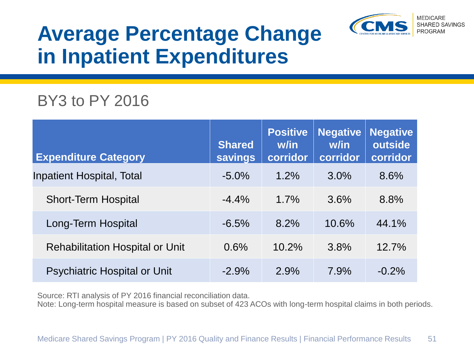

## **Average Percentage Change in Inpatient Expenditures**

#### BY3 to PY 2016

| <b>Expenditure Category</b>            | <b>Shared</b><br><b>savings</b> | <b>Positive</b><br>w/in<br>corridor | <b>Negative</b><br>w/in<br>corridor | <b>Negative</b><br>outside<br>corridor |
|----------------------------------------|---------------------------------|-------------------------------------|-------------------------------------|----------------------------------------|
| <b>Inpatient Hospital, Total</b>       | $-5.0\%$                        | 1.2%                                | 3.0%                                | 8.6%                                   |
| <b>Short-Term Hospital</b>             | $-4.4%$                         | $1.7\%$                             | 3.6%                                | 8.8%                                   |
| Long-Term Hospital                     | $-6.5%$                         | 8.2%                                | 10.6%                               | 44.1%                                  |
| <b>Rehabilitation Hospital or Unit</b> | 0.6%                            | 10.2%                               | 3.8%                                | 12.7%                                  |
| <b>Psychiatric Hospital or Unit</b>    | $-2.9%$                         | 2.9%                                | 7.9%                                | $-0.2%$                                |

Source: RTI analysis of PY 2016 financial reconciliation data.

Note: Long-term hospital measure is based on subset of 423 ACOs with long-term hospital claims in both periods.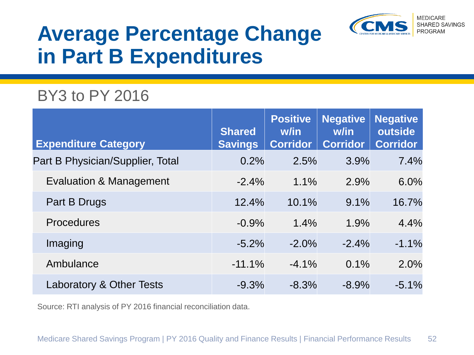

### **Average Percentage Change in Part B Expenditures**

#### BY3 to PY 2016

| <b>Expenditure Category</b>        | <b>Shared</b><br><b>Savings</b> | <b>Positive</b><br>w/in<br><b>Corridor</b> | <b>Negative</b><br>w/in<br><b>Corridor</b> | <b>Negative</b><br>outside<br><b>Corridor</b> |
|------------------------------------|---------------------------------|--------------------------------------------|--------------------------------------------|-----------------------------------------------|
| Part B Physician/Supplier, Total   | 0.2%                            | 2.5%                                       | 3.9%                                       | 7.4%                                          |
| <b>Evaluation &amp; Management</b> | $-2.4%$                         | 1.1%                                       | 2.9%                                       | 6.0%                                          |
| Part B Drugs                       | 12.4%                           | 10.1%                                      | 9.1%                                       | 16.7%                                         |
| <b>Procedures</b>                  | $-0.9%$                         | 1.4%                                       | 1.9%                                       | 4.4%                                          |
| Imaging                            | $-5.2%$                         | $-2.0\%$                                   | $-2.4%$                                    | $-1.1%$                                       |
| Ambulance                          | $-11.1%$                        | $-4.1%$                                    | 0.1%                                       | 2.0%                                          |
| Laboratory & Other Tests           | $-9.3%$                         | $-8.3%$                                    | $-8.9%$                                    | $-5.1%$                                       |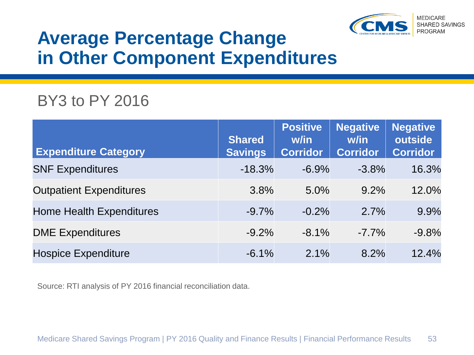

#### **Average Percentage Change in Other Component Expenditures**

#### BY3 to PY 2016

| <b>Expenditure Category</b>     | <b>Shared</b><br><b>Savings</b> | <b>Positive</b><br>w/in<br><b>Corridor</b> | <b>Negative</b><br>w/in<br><b>Corridor</b> | <b>Negative</b><br>outside<br><b>Corridor</b> |
|---------------------------------|---------------------------------|--------------------------------------------|--------------------------------------------|-----------------------------------------------|
| <b>SNF Expenditures</b>         | $-18.3%$                        | $-6.9%$                                    | $-3.8%$                                    | 16.3%                                         |
| <b>Outpatient Expenditures</b>  | 3.8%                            | 5.0%                                       | $9.2\%$                                    | 12.0%                                         |
| <b>Home Health Expenditures</b> | $-9.7%$                         | $-0.2%$                                    | 2.7%                                       | 9.9%                                          |
| <b>DME Expenditures</b>         | $-9.2%$                         | $-8.1%$                                    | $-7.7\%$                                   | $-9.8%$                                       |
| <b>Hospice Expenditure</b>      | $-6.1%$                         | 2.1%                                       | 8.2%                                       | 12.4%                                         |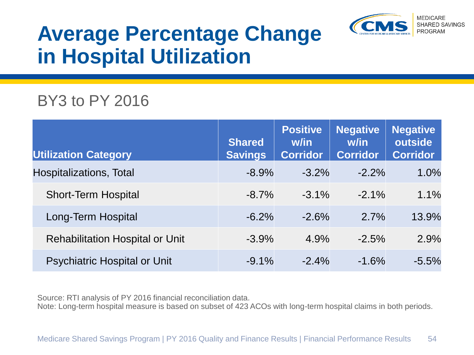

### **Average Percentage Change in Hospital Utilization**

#### BY3 to PY 2016

| <b>Utilization Category</b>            | <b>Shared</b><br><b>Savings</b> | <b>Positive</b><br>w/in<br><b>Corridor</b> | <b>Negative</b><br>w/in<br><b>Corridor</b> | <b>Negative</b><br>outside<br><b>Corridor</b> |
|----------------------------------------|---------------------------------|--------------------------------------------|--------------------------------------------|-----------------------------------------------|
| Hospitalizations, Total                | $-8.9%$                         | $-3.2%$                                    | $-2.2\%$                                   | 1.0%                                          |
| <b>Short-Term Hospital</b>             | $-8.7%$                         | $-3.1%$                                    | $-2.1\%$                                   | 1.1%                                          |
| Long-Term Hospital                     | $-6.2%$                         | $-2.6%$                                    | 2.7%                                       | 13.9%                                         |
| <b>Rehabilitation Hospital or Unit</b> | $-3.9%$                         | 4.9%                                       | $-2.5%$                                    | 2.9%                                          |
| <b>Psychiatric Hospital or Unit</b>    | $-9.1%$                         | $-2.4%$                                    | $-1.6%$                                    | $-5.5%$                                       |

Source: RTI analysis of PY 2016 financial reconciliation data.

Note: Long-term hospital measure is based on subset of 423 ACOs with long-term hospital claims in both periods.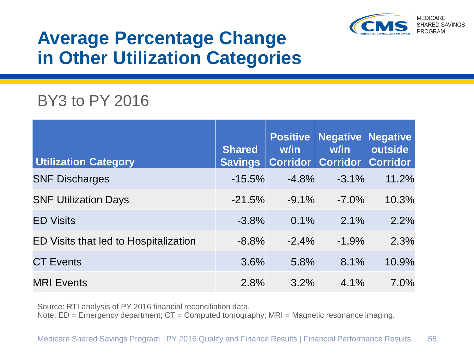

#### **Average Percentage Change in Other Utilization Categories**

#### BY3 to PY 2016

| <b>Utilization Category</b>           | <b>Shared</b><br><b>Savings</b> | w/in    | <b>Positive   Negative   Negative</b><br>w/in<br>Corridor   Corridor | outside<br><b>Corridor</b> |
|---------------------------------------|---------------------------------|---------|----------------------------------------------------------------------|----------------------------|
| <b>SNF Discharges</b>                 | $-15.5%$                        | $-4.8%$ | $-3.1%$                                                              | 11.2%                      |
| <b>SNF Utilization Days</b>           | $-21.5%$                        | $-9.1%$ | $-7.0\%$                                                             | 10.3%                      |
| <b>ED Visits</b>                      | $-3.8%$                         | 0.1%    | 2.1%                                                                 | 2.2%                       |
| ED Visits that led to Hospitalization | $-8.8%$                         | $-2.4%$ | $-1.9%$                                                              | 2.3%                       |
| <b>CT Events</b>                      | 3.6%                            | 5.8%    | 8.1%                                                                 | 10.9%                      |
| <b>MRI Events</b>                     | 2.8%                            | 3.2%    | 4.1%                                                                 | 7.0%                       |

Source: RTI analysis of PY 2016 financial reconciliation data.

Note: ED = Emergency department; CT = Computed tomography; MRI = Magnetic resonance imaging.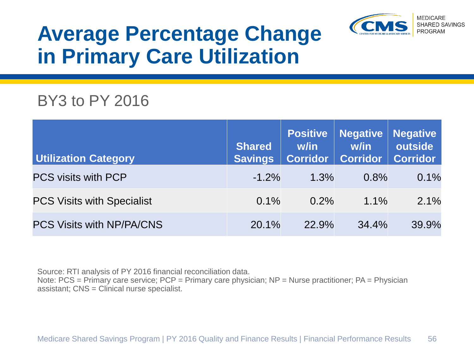

## **Average Percentage Change in Primary Care Utilization**

#### BY3 to PY 2016

| <b>Utilization Category</b>       | <b>Shared</b><br><b>Savings</b> | <b>Positive</b><br>w/in | <b>Negative   Negative</b><br>w/in<br>Corridor   Corridor   Corridor | outside |
|-----------------------------------|---------------------------------|-------------------------|----------------------------------------------------------------------|---------|
| <b>PCS visits with PCP</b>        | $-1.2%$                         | 1.3%                    | 0.8%                                                                 | 0.1%    |
| <b>PCS Visits with Specialist</b> | $0.1\%$                         | $0.2\%$                 | $1.1\%$                                                              | 2.1%    |
| PCS Visits with NP/PA/CNS         | 20.1%                           | 22.9%                   | 34.4%                                                                | 39.9%   |

Source: RTI analysis of PY 2016 financial reconciliation data. Note: PCS = Primary care service; PCP = Primary care physician; NP = Nurse practitioner; PA = Physician assistant; CNS = Clinical nurse specialist.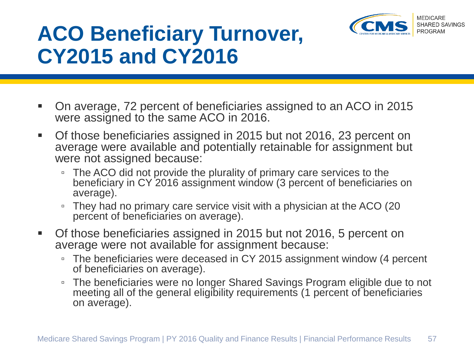

## **ACO Beneficiary Turnover, CY2015 and CY2016**

- On average, 72 percent of beneficiaries assigned to an ACO in 2015 were assigned to the same ACO in 2016.
- Of those beneficiaries assigned in 2015 but not 2016, 23 percent on average were available and potentially retainable for assignment but were not assigned because:
	- The ACO did not provide the plurality of primary care services to the beneficiary in CY 2016 assignment window (3 percent of beneficiaries on average).
	- They had no primary care service visit with a physician at the ACO (20 percent of beneficiaries on average).
- Of those beneficiaries assigned in 2015 but not 2016, 5 percent on average were not available for assignment because:
	- The beneficiaries were deceased in CY 2015 assignment window (4 percent of beneficiaries on average).
	- The beneficiaries were no longer Shared Savings Program eligible due to not meeting all of the general eligibility requirements (1 percent of beneficiaries on average).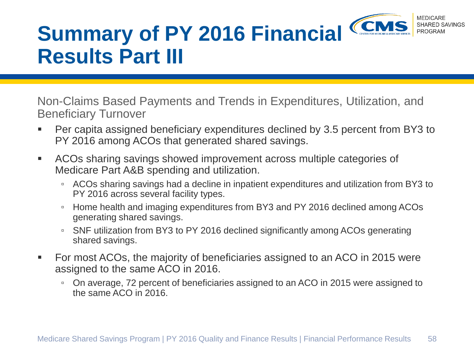

# **Summary of PY 2016 Financial Results Part III**

Non-Claims Based Payments and Trends in Expenditures, Utilization, and Beneficiary Turnover

- Per capita assigned beneficiary expenditures declined by 3.5 percent from BY3 to PY 2016 among ACOs that generated shared savings.
- ACOs sharing savings showed improvement across multiple categories of Medicare Part A&B spending and utilization.
	- ACOs sharing savings had a decline in inpatient expenditures and utilization from BY3 to PY 2016 across several facility types.
	- Home health and imaging expenditures from BY3 and PY 2016 declined among ACOs generating shared savings.
	- SNF utilization from BY3 to PY 2016 declined significantly among ACOs generating shared savings.
- For most ACOs, the majority of beneficiaries assigned to an ACO in 2015 were assigned to the same ACO in 2016.
	- On average, 72 percent of beneficiaries assigned to an ACO in 2015 were assigned to the same ACO in 2016.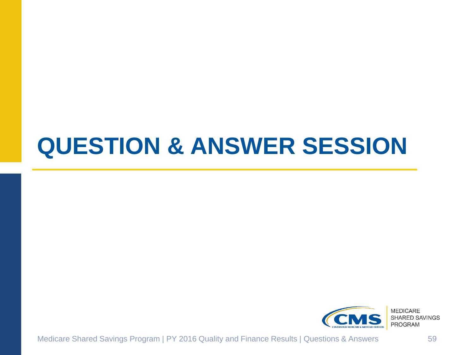# **QUESTION & ANSWER SESSION**



Medicare Shared Savings Program | PY 2016 Quality and Finance Results | Questions & Answers 59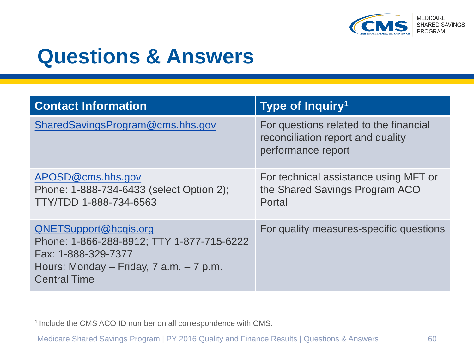

### **Questions & Answers**

| <b>Contact Information</b>                                                                                                                                      | Type of Inquiry <sup>1</sup>                                                                      |
|-----------------------------------------------------------------------------------------------------------------------------------------------------------------|---------------------------------------------------------------------------------------------------|
| SharedSavingsProgram@cms.hhs.gov                                                                                                                                | For questions related to the financial<br>reconciliation report and quality<br>performance report |
| APOSD@cms.hhs.gov<br>Phone: 1-888-734-6433 (select Option 2);<br>TTY/TDD 1-888-734-6563                                                                         | For technical assistance using MFT or<br>the Shared Savings Program ACO<br>Portal                 |
| QNETSupport@hcqis.org<br>Phone: 1-866-288-8912; TTY 1-877-715-6222<br>Fax: 1-888-329-7377<br>Hours: Monday – Friday, $7$ a.m. – $7$ p.m.<br><b>Central Time</b> | For quality measures-specific questions                                                           |

<sup>1</sup> Include the CMS ACO ID number on all correspondence with CMS.

Medicare Shared Savings Program | PY 2016 Quality and Finance Results | Questions & Answers 60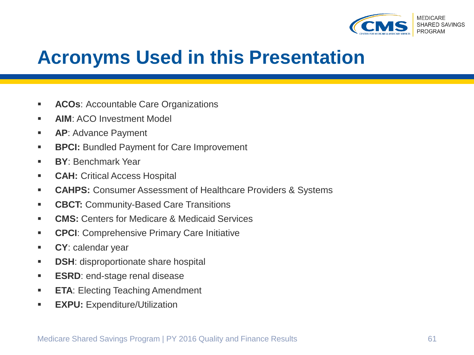

#### **Acronyms Used in this Presentation**

- **ACOs: Accountable Care Organizations**
- **AIM: ACO Investment Model**
- **AP**: Advance Payment
- **BPCI:** Bundled Payment for Care Improvement
- **BY**: Benchmark Year
- **CAH: Critical Access Hospital**
- **CAHPS:** Consumer Assessment of Healthcare Providers & Systems
- **CBCT: Community-Based Care Transitions**
- **CMS:** Centers for Medicare & Medicaid Services
- **CPCI:** Comprehensive Primary Care Initiative
- **CY**: calendar year
- **DSH:** disproportionate share hospital
- **ESRD:** end-stage renal disease
- **ETA: Electing Teaching Amendment**
- **EXPU:** Expenditure/Utilization